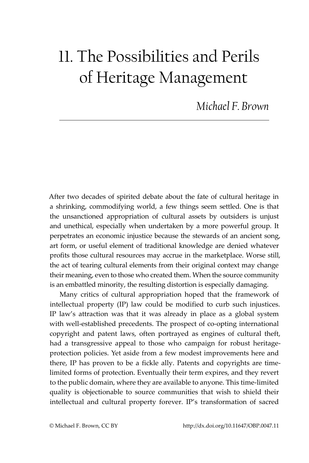## 11. The Possibilities and Perils of Heritage Management

*Michael F. Brown*

After two decades of spirited debate about the fate of cultural heritage in a shrinking, commodifying world, a few things seem settled. One is that the unsanctioned appropriation of cultural assets by outsiders is unjust and unethical, especially when undertaken by a more powerful group. It perpetrates an economic injustice because the stewards of an ancient song, art form, or useful element of traditional knowledge are denied whatever profits those cultural resources may accrue in the marketplace. Worse still, the act of tearing cultural elements from their original context may change their meaning, even to those who created them. When the source community is an embattled minority, the resulting distortion is especially damaging.

Many critics of cultural appropriation hoped that the framework of intellectual property (IP) law could be modified to curb such injustices. IP law's attraction was that it was already in place as a global system with well-established precedents. The prospect of co-opting international copyright and patent laws, often portrayed as engines of cultural theft, had a transgressive appeal to those who campaign for robust heritageprotection policies. Yet aside from a few modest improvements here and there, IP has proven to be a fickle ally. Patents and copyrights are timelimited forms of protection. Eventually their term expires, and they revert to the public domain, where they are available to anyone. This time-limited quality is objectionable to source communities that wish to shield their intellectual and cultural property forever. IP's transformation of sacred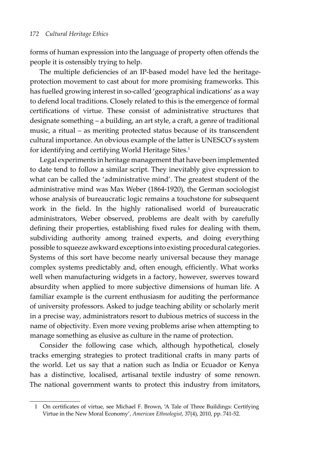forms of human expression into the language of property often offends the people it is ostensibly trying to help.

The multiple deficiencies of an IP-based model have led the heritageprotection movement to cast about for more promising frameworks. This has fuelled growing interest in so-called 'geographical indications' as a way to defend local traditions. Closely related to this is the emergence of formal certifications of virtue. These consist of administrative structures that designate something – a building, an art style, a craft, a genre of traditional music, a ritual – as meriting protected status because of its transcendent cultural importance. An obvious example of the latter is UNESCO's system for identifying and certifying World Heritage Sites.<sup>1</sup>

Legal experiments in heritage management that have been implemented to date tend to follow a similar script. They inevitably give expression to what can be called the 'administrative mind'. The greatest student of the administrative mind was Max Weber (1864-1920), the German sociologist whose analysis of bureaucratic logic remains a touchstone for subsequent work in the field. In the highly rationalised world of bureaucratic administrators, Weber observed, problems are dealt with by carefully defining their properties, establishing fixed rules for dealing with them, subdividing authority among trained experts, and doing everything possible to squeeze awkward exceptions into existing procedural categories. Systems of this sort have become nearly universal because they manage complex systems predictably and, often enough, efficiently. What works well when manufacturing widgets in a factory, however, swerves toward absurdity when applied to more subjective dimensions of human life. A familiar example is the current enthusiasm for auditing the performance of university professors. Asked to judge teaching ability or scholarly merit in a precise way, administrators resort to dubious metrics of success in the name of objectivity. Even more vexing problems arise when attempting to manage something as elusive as culture in the name of protection.

Consider the following case which, although hypothetical, closely tracks emerging strategies to protect traditional crafts in many parts of the world. Let us say that a nation such as India or Ecuador or Kenya has a distinctive, localised, artisanal textile industry of some renown. The national government wants to protect this industry from imitators,

<sup>1</sup> On certificates of virtue, see Michael F. Brown, 'A Tale of Three Buildings: Certifying Virtue in the New Moral Economy', *American Ethnologist*, 37(4), 2010, pp. 741-52.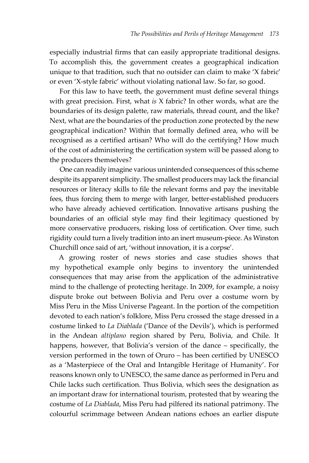especially industrial firms that can easily appropriate traditional designs. To accomplish this, the government creates a geographical indication unique to that tradition, such that no outsider can claim to make 'X fabric' or even 'X-style fabric' without violating national law. So far, so good.

For this law to have teeth, the government must define several things with great precision. First, what *is* X fabric? In other words, what are the boundaries of its design palette, raw materials, thread count, and the like? Next, what are the boundaries of the production zone protected by the new geographical indication? Within that formally defined area, who will be recognised as a certified artisan? Who will do the certifying? How much of the cost of administering the certification system will be passed along to the producers themselves?

One can readily imagine various unintended consequences of this scheme despite its apparent simplicity. The smallest producers may lack the financial resources or literacy skills to file the relevant forms and pay the inevitable fees, thus forcing them to merge with larger, better-established producers who have already achieved certification. Innovative artisans pushing the boundaries of an official style may find their legitimacy questioned by more conservative producers, risking loss of certification. Over time, such rigidity could turn a lively tradition into an inert museum-piece. As Winston Churchill once said of art, 'without innovation, it is a corpse'.

A growing roster of news stories and case studies shows that my hypothetical example only begins to inventory the unintended consequences that may arise from the application of the administrative mind to the challenge of protecting heritage. In 2009, for example, a noisy dispute broke out between Bolivia and Peru over a costume worn by Miss Peru in the Miss Universe Pageant. In the portion of the competition devoted to each nation's folklore, Miss Peru crossed the stage dressed in a costume linked to *La Diablada* ('Dance of the Devils'), which is performed in the Andean *altiplano* region shared by Peru, Bolivia, and Chile. It happens, however, that Bolivia's version of the dance – specifically, the version performed in the town of Oruro – has been certified by UNESCO as a 'Masterpiece of the Oral and Intangible Heritage of Humanity'. For reasons known only to UNESCO, the same dance as performed in Peru and Chile lacks such certification. Thus Bolivia, which sees the designation as an important draw for international tourism, protested that by wearing the costume of *La Diablada*, Miss Peru had pilfered its national patrimony. The colourful scrimmage between Andean nations echoes an earlier dispute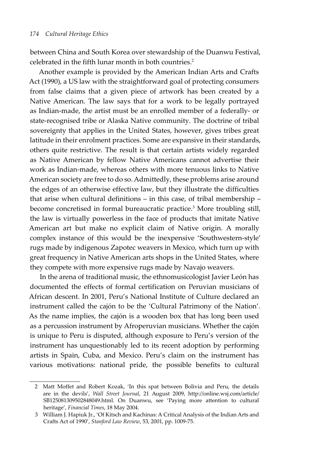between China and South Korea over stewardship of the Duanwu Festival, celebrated in the fifth lunar month in both countries.<sup>2</sup>

Another example is provided by the American Indian Arts and Crafts Act (1990), a US law with the straightforward goal of protecting consumers from false claims that a given piece of artwork has been created by a Native American. The law says that for a work to be legally portrayed as Indian-made, the artist must be an enrolled member of a federally- or state-recognised tribe or Alaska Native community. The doctrine of tribal sovereignty that applies in the United States, however, gives tribes great latitude in their enrolment practices. Some are expansive in their standards, others quite restrictive. The result is that certain artists widely regarded as Native American by fellow Native Americans cannot advertise their work as Indian-made, whereas others with more tenuous links to Native American society are free to do so. Admittedly, these problems arise around the edges of an otherwise effective law, but they illustrate the difficulties that arise when cultural definitions – in this case, of tribal membership – become concretised in formal bureaucratic practice.3 More troubling still, the law is virtually powerless in the face of products that imitate Native American art but make no explicit claim of Native origin. A morally complex instance of this would be the inexpensive 'Southwestern-style' rugs made by indigenous Zapotec weavers in Mexico, which turn up with great frequency in Native American arts shops in the United States, where they compete with more expensive rugs made by Navajo weavers.

In the arena of traditional music, the ethnomusicologist Javier León has documented the effects of formal certification on Peruvian musicians of African descent. In 2001, Peru's National Institute of Culture declared an instrument called the cajón to be the 'Cultural Patrimony of the Nation'. As the name implies, the cajón is a wooden box that has long been used as a percussion instrument by Afroperuvian musicians. Whether the cajón is unique to Peru is disputed, although exposure to Peru's version of the instrument has unquestionably led to its recent adoption by performing artists in Spain, Cuba, and Mexico. Peru's claim on the instrument has various motivations: national pride, the possible benefits to cultural

<sup>2</sup> Matt Moffet and Robert Kozak, 'In this spat between Bolivia and Peru, the details are in the devils', *Wall Street Journal*, 21 August 2009, [http://online.wsj.com/article/](http://online.wsj.com/article/SB125081309502848049.html) [SB125081309502848049.html.](http://online.wsj.com/article/SB125081309502848049.html) On Duanwu, see 'Paying more attention to cultural heritage', *Financial Times*, 18 May 2004.

<sup>3</sup> William J. Hapiuk Jr., 'Of Kitsch and Kachinas: A Critical Analysis of the Indian Arts and Crafts Act of 1990', *Stanford Law Review*, 53, 2001, pp. 1009-75.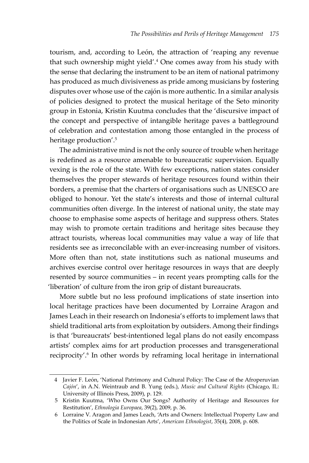tourism, and, according to León, the attraction of 'reaping any revenue that such ownership might yield'.4 One comes away from his study with the sense that declaring the instrument to be an item of national patrimony has produced as much divisiveness as pride among musicians by fostering disputes over whose use of the cajón is more authentic. In a similar analysis of policies designed to protect the musical heritage of the Seto minority group in Estonia, Kristin Kuutma concludes that the 'discursive impact of the concept and perspective of intangible heritage paves a battleground of celebration and contestation among those entangled in the process of heritage production'.<sup>5</sup>

The administrative mind is not the only source of trouble when heritage is redefined as a resource amenable to bureaucratic supervision. Equally vexing is the role of the state. With few exceptions, nation states consider themselves the proper stewards of heritage resources found within their borders, a premise that the charters of organisations such as UNESCO are obliged to honour. Yet the state's interests and those of internal cultural communities often diverge. In the interest of national unity, the state may choose to emphasise some aspects of heritage and suppress others. States may wish to promote certain traditions and heritage sites because they attract tourists, whereas local communities may value a way of life that residents see as irreconcilable with an ever-increasing number of visitors. More often than not, state institutions such as national museums and archives exercise control over heritage resources in ways that are deeply resented by source communities – in recent years prompting calls for the 'liberation' of culture from the iron grip of distant bureaucrats.

More subtle but no less profound implications of state insertion into local heritage practices have been documented by Lorraine Aragon and James Leach in their research on Indonesia's efforts to implement laws that shield traditional arts from exploitation by outsiders. Among their findings is that 'bureaucrats' best-intentioned legal plans do not easily encompass artists' complex aims for art production processes and transgenerational reciprocity'.<sup>6</sup> In other words by reframing local heritage in international

<sup>4</sup> Javier F. León, 'National Patrimony and Cultural Policy: The Case of the Afroperuvian *Cajón*', in A.N. Weintraub and B. Yung (eds.), *Music and Cultural Rights* (Chicago, IL: University of Illinois Press, 2009), p. 129.

<sup>5</sup> Kristin Kuutma, 'Who Owns Our Songs? Authority of Heritage and Resources for Restitution', *Ethnologia Europaea*, 39(2), 2009, p. 36.

<sup>6</sup> Lorraine V. Aragon and James Leach, 'Arts and Owners: Intellectual Property Law and the Politics of Scale in Indonesian Arts', *American Ethnologist*, 35(4), 2008, p. 608.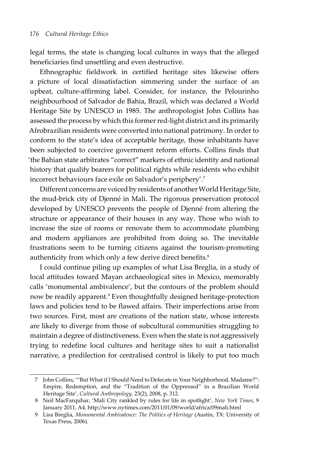legal terms, the state is changing local cultures in ways that the alleged beneficiaries find unsettling and even destructive.

Ethnographic fieldwork in certified heritage sites likewise offers a picture of local dissatisfaction simmering under the surface of an upbeat, culture-affirming label. Consider, for instance, the Pelourinho neighbourhood of Salvador de Bahia, Brazil, which was declared a World Heritage Site by UNESCO in 1985. The anthropologist John Collins has assessed the process by which this former red-light district and its primarily Afrobrazilian residents were converted into national patrimony. In order to conform to the state's idea of acceptable heritage, those inhabitants have been subjected to coercive government reform efforts. Collins finds that 'the Bahian state arbitrates "correct" markers of ethnic identity and national history that qualify bearers for political rights while residents who exhibit incorrect behaviours face exile on Salvador's periphery'.7

Different concerns are voiced by residents of another World Heritage Site, the mud-brick city of Djenné in Mali. The rigorous preservation protocol developed by UNESCO prevents the people of Djenné from altering the structure or appearance of their houses in any way. Those who wish to increase the size of rooms or renovate them to accommodate plumbing and modern appliances are prohibited from doing so. The inevitable frustrations seem to be turning citizens against the tourism-promoting authenticity from which only a few derive direct benefits.<sup>8</sup>

I could continue piling up examples of what Lisa Breglia, in a study of local attitudes toward Mayan archaeological sites in Mexico, memorably calls 'monumental ambivalence', but the contours of the problem should now be readily apparent.9 Even thoughtfully designed heritage-protection laws and policies tend to be flawed affairs. Their imperfections arise from two sources. First, most are creations of the nation state, whose interests are likely to diverge from those of subcultural communities struggling to maintain a degree of distinctiveness. Even when the state is not aggressively trying to redefine local cultures and heritage sites to suit a nationalist narrative, a predilection for centralised control is likely to put too much

<sup>7</sup> John Collins, '"But What if I Should Need to Defecate in Your Neighborhood, Madame?": Empire, Redemption, and the "Tradition of the Oppressed" in a Brazilian World Heritage Site', *Cultural Anthropology,* 23(2), 2008, p. 312.

<sup>8</sup> Neil MacFarquhar, 'Mali City rankled by rules for life in spotlight', *New York Times*, 9 January 2011, A4, <http://www.nytimes.com/2011/01/09/world/africa/09mali.html>

<sup>9</sup> Lisa Breglia, *Monumental Ambivalence: The Politics of Heritage* (Austin, TX: University of Texas Press, 2006).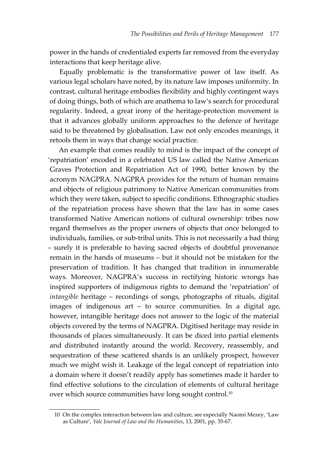power in the hands of credentialed experts far removed from the everyday interactions that keep heritage alive.

Equally problematic is the transformative power of law itself. As various legal scholars have noted, by its nature law imposes uniformity. In contrast, cultural heritage embodies flexibility and highly contingent ways of doing things, both of which are anathema to law's search for procedural regularity. Indeed, a great irony of the heritage-protection movement is that it advances globally uniform approaches to the defence of heritage said to be threatened by globalisation. Law not only encodes meanings, it retools them in ways that change social practice.

An example that comes readily to mind is the impact of the concept of 'repatriation' encoded in a celebrated US law called the Native American Graves Protection and Repatriation Act of 1990, better known by the acronym NAGPRA. NAGPRA provides for the return of human remains and objects of religious patrimony to Native American communities from which they were taken, subject to specific conditions. Ethnographic studies of the repatriation process have shown that the law has in some cases transformed Native American notions of cultural ownership: tribes now regard themselves as the proper owners of objects that once belonged to individuals, families, or sub-tribal units. This is not necessarily a bad thing – surely it is preferable to having sacred objects of doubtful provenance remain in the hands of museums – but it should not be mistaken for the preservation of tradition. It has changed that tradition in innumerable ways. Moreover, NAGPRA's success in rectifying historic wrongs has inspired supporters of indigenous rights to demand the 'repatriation' of *intangible* heritage – recordings of songs, photographs of rituals, digital images of indigenous art – to source communities. In a digital age, however, intangible heritage does not answer to the logic of the material objects covered by the terms of NAGPRA. Digitised heritage may reside in thousands of places simultaneously. It can be diced into partial elements and distributed instantly around the world. Recovery, reassembly, and sequestration of these scattered shards is an unlikely prospect, however much we might wish it. Leakage of the legal concept of repatriation into a domain where it doesn't readily apply has sometimes made it harder to find effective solutions to the circulation of elements of cultural heritage over which source communities have long sought control.<sup>10</sup>

<sup>10</sup> On the complex interaction between law and culture, see especially Naomi Mezey, 'Law as Culture', *Yale Journal of Law and the Humanities*, 13, 2001, pp. 35-67.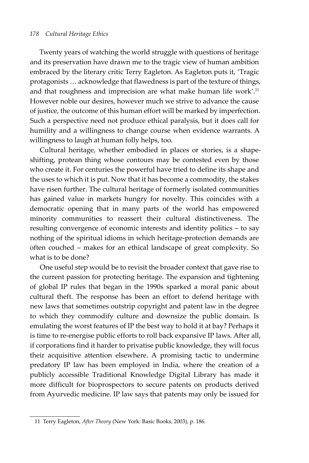#### *178 Cultural Heritage Ethics*

Twenty years of watching the world struggle with questions of heritage and its preservation have drawn me to the tragic view of human ambition embraced by the literary critic Terry Eagleton. As Eagleton puts it, 'Tragic protagonists … acknowledge that flawedness is part of the texture of things, and that roughness and imprecision are what make human life work'.<sup>11</sup> However noble our desires, however much we strive to advance the cause of justice, the outcome of this human effort will be marked by imperfection. Such a perspective need not produce ethical paralysis, but it does call for humility and a willingness to change course when evidence warrants. A willingness to laugh at human folly helps, too.

Cultural heritage, whether embodied in places or stories, is a shapeshifting, protean thing whose contours may be contested even by those who create it. For centuries the powerful have tried to define its shape and the uses to which it is put. Now that it has become a commodity, the stakes have risen further. The cultural heritage of formerly isolated communities has gained value in markets hungry for novelty. This coincides with a democratic opening that in many parts of the world has empowered minority communities to reassert their cultural distinctiveness. The resulting convergence of economic interests and identity politics – to say nothing of the spiritual idioms in which heritage-protection demands are often couched – makes for an ethical landscape of great complexity. So what is to be done?

One useful step would be to revisit the broader context that gave rise to the current passion for protecting heritage. The expansion and tightening of global IP rules that began in the 1990s sparked a moral panic about cultural theft. The response has been an effort to defend heritage with new laws that sometimes outstrip copyright and patent law in the degree to which they commodify culture and downsize the public domain. Is emulating the worst features of IP the best way to hold it at bay? Perhaps it is time to re-energise public efforts to roll back expansive IP laws. After all, if corporations find it harder to privatise public knowledge, they will focus their acquisitive attention elsewhere. A promising tactic to undermine predatory IP law has been employed in India, where the creation of a publicly accessible Traditional Knowledge Digital Library has made it more difficult for bioprospectors to secure patents on products derived from Ayurvedic medicine. IP law says that patents may only be issued for

<sup>11</sup> Terry Eagleton, *After Theory* (New York: Basic Books, 2003), p. 186.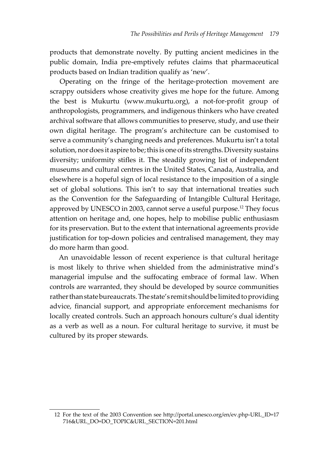products that demonstrate novelty. By putting ancient medicines in the public domain, India pre-emptively refutes claims that pharmaceutical products based on Indian tradition qualify as 'new'.

Operating on the fringe of the heritage-protection movement are scrappy outsiders whose creativity gives me hope for the future. Among the best is Mukurtu ([www.mukurtu.org](http://www.mukurtu.org)), a not-for-profit group of anthropologists, programmers, and indigenous thinkers who have created archival software that allows communities to preserve, study, and use their own digital heritage. The program's architecture can be customised to serve a community's changing needs and preferences. Mukurtu isn't a total solution, nor does it aspire to be; this is one of its strengths. Diversity sustains diversity; uniformity stifles it. The steadily growing list of independent museums and cultural centres in the United States, Canada, Australia, and elsewhere is a hopeful sign of local resistance to the imposition of a single set of global solutions. This isn't to say that international treaties such as the Convention for the Safeguarding of Intangible Cultural Heritage, approved by UNESCO in 2003, cannot serve a useful purpose.12 They focus attention on heritage and, one hopes, help to mobilise public enthusiasm for its preservation. But to the extent that international agreements provide justification for top-down policies and centralised management, they may do more harm than good.

An unavoidable lesson of recent experience is that cultural heritage is most likely to thrive when shielded from the administrative mind's managerial impulse and the suffocating embrace of formal law. When controls are warranted, they should be developed by source communities rather than state bureaucrats. The state's remit should be limited to providing advice, financial support, and appropriate enforcement mechanisms for locally created controls. Such an approach honours culture's dual identity as a verb as well as a noun. For cultural heritage to survive, it must be cultured by its proper stewards.

<sup>12</sup> For the text of the 2003 Convention see [http://portal.unesco.org/en/ev.php-URL\\_ID=17](http://portal.unesco.org/en/ev.php-URL_ID=17716&URL_DO=DO_TOPIC&URL_SECTION=201.html) [716&URL\\_DO=DO\\_TOPIC&URL\\_SECTION=201.html](http://portal.unesco.org/en/ev.php-URL_ID=17716&URL_DO=DO_TOPIC&URL_SECTION=201.html)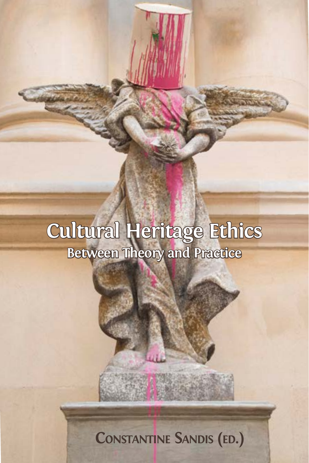## **Cultural Heritage Ethics Between Theory and Practice**

## **CONSTANTINE SANDIS (ED.)**